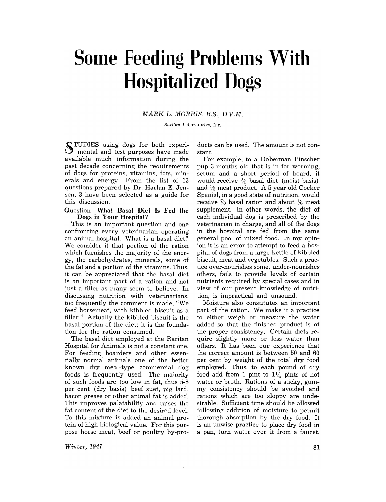# **Some Feeding Problems With Hospitalized Dogs**

## MARK L. MORRIS, B.S., D.V.M.

*Raritan Laboratories, Inc.* 

~ TUDIES using dogs for both experi- $\cup$  mental and test purposes have made available much information during the past decade concerning the requirements of dogs for proteins, vitamins, fats, minerals and energy. From the list of 13 questions prepared by Dr. Harlan E. Jensen, 3 have been selected as a guide for this discussion.

#### Question-What Basal Diet Is Fed the Dogs in Your Hospital?

This is an important question and one confronting every veterinarian operating an animal hospital. What is a basal diet? We consider it that portion of the ration which furnishes the majority of the energy, the carbohydrates, minerals, some of the fat and a portion of the vitamins. Thus, it can be appreciated that the basal diet is an important part of a ration and not just a filler as many seem to believe. In discussing nutrition with veterinarians, too frequently the comment is made, "We feed horsemeat, with kibbled biscuit as a filler." Actually the kibbled biscuit is the basal portion of the diet; it is the foundation for the ration consumed.

The basal diet employed at the Raritan Hospital for Animals is not a constant one. For feeding boarders and other essentially normal animals one of the better known dry meal-type commercial dog foods is frequently used. The majority of such foods are too low in fat, thus 5-8 per cent (dry basis) beef suet, pig lard, bacon grease or other animal fat is added. This improves palatability and raises the  $\pi$  at content of the diet to the desired level.<br> $\pi$  at the direction of the direction of the direction of the direction of the direction of the direction of the direction of the direction of the direction of the direct To this mixture is added an animal protein of high biological value. For this purpose horse meat, beef or poultry by-pro-

*Winter, 1947* 

ducts can be used. The amount is not constant.

For example, to a Doberman Pinscher pup 3 months old that is in for worming, serum and a short period of board, it would receive  $\frac{2}{3}$  basal diet (moist basis) and  $\frac{1}{3}$  meat product. A 5 year old Cocker Spaniel, in a good state of nutrition, would receive  $\frac{7}{8}$  basal ration and about  $\frac{1}{8}$  meat supplement. In other words, the diet of each individual dog is prescribed by the veterinarian in charge, and all of the dogs in the hospital are fed from the same general pool of mixed food. In my opinion it is an error to attempt to feed a hospital of dogs from a large kettle of kibbled biscuit, meat and vegetables. Such a practice over-nourishes some, under-nourishes others, fails to provide levels of certain nutrients required by special cases and in view of our present knowledge of nutrition, is impractical and unsound.

Moisture also constitutes an important part of the ration. We make it a practice to either weigh or measure the water added so that the finished product is of the proper consistency. Certain diets require slightly more or less water than others. It has been our experience that the correct amount is between 50 and 60 per cent by weight of the total dry food employed. Thus, to each pound of dry food add from 1 pint to  $1\frac{1}{4}$  pints of hot water or broth. Rations of a sticky, gummy consistency should be avoided and rations which are too sloppy are undesirable. Sufficient time should be allowed following addition of moisture to permit thorough absorption by the dry food. It is an unwise practice to place dry food in a pan, turn water over it from a faucet,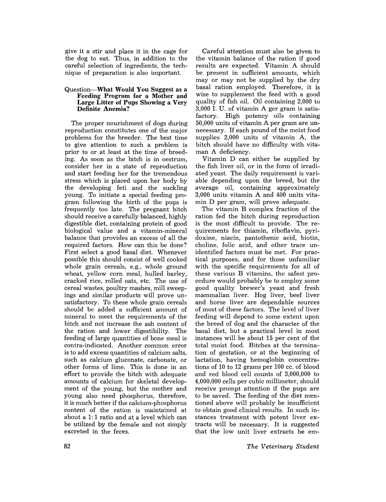give it a stir and place it in the cage for the dog to eat. Thus, in addition to the careful selection of ingredients, the technique of preparation is also important.

#### Question-What Would You Suggest as a Feeding Program for a Mother and Large Litter of Pups Showing a Very Definite Anemia?

The proper nourishment of dogs during reproduction constitutes one of the major problems for the breeder. The best time to give attention to such a problem is prior to or at least at the time of breeding. As soon as the bitch is in oestrum, consider her in a state of reproduction and start feeding her for the tremendous stress which is placed upon her body by the developing feti and the suckling young. To initiate a special feeding program following the birth of the pups is frequently too late. The pregnant bitch should receive a carefully balanced, highly digestible diet, containing protein of good biological value and a vitamin-mineral balance that provides an excess of all the required factors. How can this be done? First select a good basal diet. Whenever possible this should consist of well cooked whole grain cereals, e.g., whole ground wheat, yellow corn meal, hulled barley, cracked rice, rolled oats, etc. The use of cereal wastes, poultry mashes, mill sweepings and similar products will prove unsatisfactory. To these whole grain cereals should be added a sufficient amount of mineral to meet the requirements of the bitch and not increase the ash content of the ration and lower digestibility. The feeding of large quantities of bone meal is contra-indicated. Another common error is to add excess quantities of calcium salts, such as calcium gluconate, carbonate, or other forms of lime. This is done in an effort to provide the bitch with adequate amounts of calcium for skeletal development of the young, but the mother and young also need phosphorus, therefore, it is much better if the calcium-phosphorus content of the ration is maintained at about a 1: 1 ratio and at a level which can be utilized by the female and not simply excreted in the feces.

Careful attention must also be given to the vitamin balance of the ration if good results are expected. Vitamin A should be present in sufficient amounts, which mayor may not be supplied by the dry basal ration employed. Therefore, it is wise to supplement the feed with a good quality of fish oil. Oil containing 2,000 to 3,000 I. U. of vitamin A ger gram is satisfactory. High potency oils containing 50,000 units of vitamin A per gram are unnecessary. If each pound of the moist food supplies 2,000 units of vitamin A, the bitch should have no difficulty with vitaman A deficiency.

Vitamin D can either be supplied by the fish liver oil, or in the form of irradiated yeast. The daily requirement is variable depending upon the breed, but the average oil, containing approximately 3,000 units vitamin A and 400 units vitamin D per gram, will prove adequate.

The vitamin B complex fraction of the ration fed the bitch during reproduction is the most difficult to provide. The requirements for thiamin, riboflavin, pyridoxine, niacin, pantothenic acid, biotin, choline, folic acid, and other trace unidentified factors must be met. For practical purposes, and for those unfamiliar with the specific requirements for all of these various B vitamins, the safest procedure would probably be to employ some good quality brewer's yeast and fresh mammalian liver. Hog liver, beef liver and horse liver are dependable sources of most of these factors. The level of liver feeding will depend to some extent upon the breed of dog and the character of the basal diet, but a practical level in most instances will be about 15 per cent of the total moist food. Bitches at the termination of gestation, or at the beginning of lactation, having hemoglobin concentrations of 10 to 12 grams per 100 cc. of blood and red blood cell counts of 3,000,000 to 4,000,000 cells per cubic millimeter, should receive prompt attention if the pups are to be saved. The feeding of the diet mentioned above will probably be insufficient to obtain good clinical results. In such instances treatment with potent liver extracts will be necessary. It is suggested that the low unit liver extracts be em-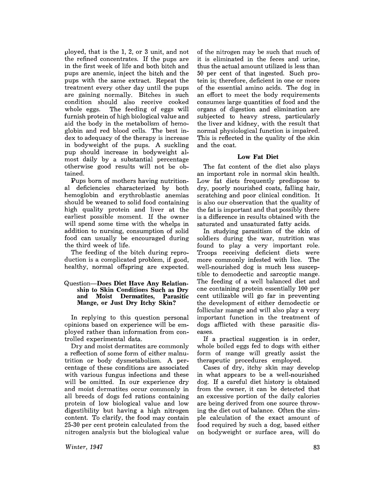ploy ed, that is the 1, 2, or 3 unit, and not the refined concentrates. If the pups are in the first week of life and both bitch and pups are anemic, inject the bitch and the pups with the same extract. Repeat the treatment every other day until the pups are gaining normally. Bitches in such condition should also receive cooked The feeding of eggs will furnish protein of high biological value and aid the body in the metabolism of hemoglobin and red blood cells. The best index to adequacy of the therapy is increase in bodyweight of the pups. A suckling pup should increase in bodyweight almost daily by a substantial percentage otherwise good results will not be obtained.

Pups born of mothers having nutritional deficiencies characterized by both hemoglobin and erythroblastic anemias should be weaned to solid food containing high quality protein and liver at the earliest possible moment. If the owner will spend some time with the whelps in addition to nursing, consumption of solid food can usually be encouraged during the third week of life.

The feeding of the bitch during reproduction is a complicated problem, if good, healthy, normal offspring are expected.

#### Question-Does Diet Have Any Relationship to Skin Conditions Such as Dry<br>and Moist Dermatites, Parasitic and Moist Dermatites, Mange, or Just Dry Itchy Skin?

In replying to this question personal opinions based on experience will be employed rather than information from controlled experimental data.

Dry and moist dermatites are commonly a reflection of some form of either malnutrition or body dysmetabolism. A percentage of these conditions are associated with various fungus infections and these will be omitted. In our experience dry and moist dermatites occur commonly in all breeds of dogs fed rations containing protein of low biological value and low digestibility but having a high nitrogen content. To clarify, the food may contain 25-30 per cent protein calculated from the nitrogen analysis but the biological value

*Winter, 1947* 

of the nitrogen may be such that much of it is eliminated in the feces and urine, thus the actual amount utilized is less than 50 per cent of that ingested. Such protein is; therefore, deficient in one or more of the essential amino acids. The dog in an effort to meet the body requirements consumes large quantities of food and the organs of digestion and elimination are subjected to heavy stress, particularly the liver and kidney, with the result that normal physiological function is impaired. This is reflected in the quality of the skin and the coat.

### Low Fat Diet

The fat content of the diet also plays an important role in normal skin health. Low fat diets frequently predispose to dry, poorly nourished coats, falling hair, scratching and poor clinical condition. It is also our observation that the quality of the fat is important and that possibly there is a difference in results obtained with the saturated and unsaturated fatty acids.

In studying parasitism of the skin of soldiers during the war, nutrition was found to play a very important role. Troops receiving deficient diets were more commonly infested with lice. The well-nourished dog is much less susceptible to demodectic and sarcoptic mange. The feeding of a well balanced diet and one containing protein essentially 100 per cent utilizable will go far in preventing the development of either demodectic or follicular mange and will also play a very important function in the treatment of dogs afflicted with these parasitic diseases.

If a practical suggestion is in order, whole boiled eggs fed to dogs with either form of mange will greatly assist the therapeutic procedures employed.

Cases of dry, itchy skin may develop in what appears to be a well-nourished dog. If a careful diet history is obtained from the owner, it can be detected that an excessive portion of the daily calories are being derived from one source throwing the diet out of balance. Often the simple calculation of the exact amount of food required by such a dog, based either on bodyweight or surface area, will do